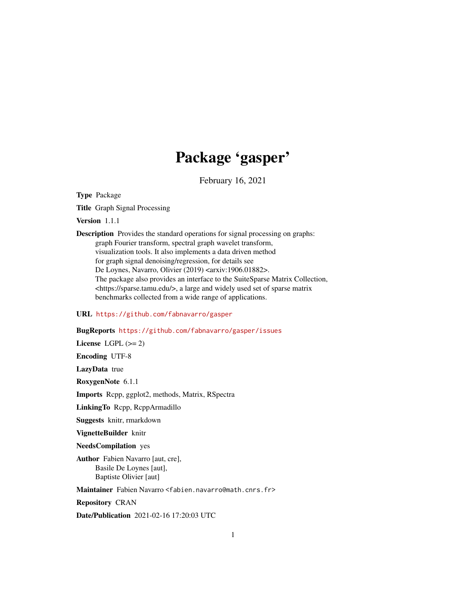# Package 'gasper'

February 16, 2021

Type Package

Title Graph Signal Processing

Version 1.1.1

Description Provides the standard operations for signal processing on graphs: graph Fourier transform, spectral graph wavelet transform, visualization tools. It also implements a data driven method for graph signal denoising/regression, for details see De Loynes, Navarro, Olivier (2019) <arxiv:1906.01882>. The package also provides an interface to the SuiteSparse Matrix Collection, <https://sparse.tamu.edu/>, a large and widely used set of sparse matrix benchmarks collected from a wide range of applications.

## URL <https://github.com/fabnavarro/gasper>

## BugReports <https://github.com/fabnavarro/gasper/issues>

License LGPL  $(>= 2)$ Encoding UTF-8 LazyData true RoxygenNote 6.1.1 Imports Rcpp, ggplot2, methods, Matrix, RSpectra LinkingTo Rcpp, RcppArmadillo Suggests knitr, rmarkdown VignetteBuilder knitr

NeedsCompilation yes

Author Fabien Navarro [aut, cre], Basile De Loynes [aut], Baptiste Olivier [aut]

Maintainer Fabien Navarro <fabien.navarro@math.cnrs.fr>

Repository CRAN

Date/Publication 2021-02-16 17:20:03 UTC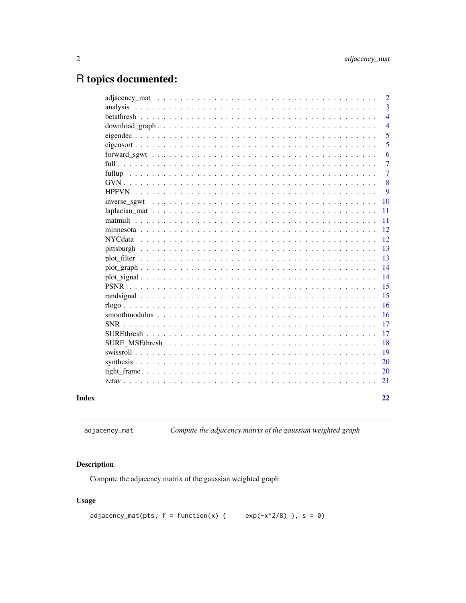## <span id="page-1-0"></span>R topics documented:

|                 |                                                                                                                      | $\overline{2}$ |
|-----------------|----------------------------------------------------------------------------------------------------------------------|----------------|
|                 |                                                                                                                      | 3              |
|                 |                                                                                                                      | $\overline{4}$ |
|                 |                                                                                                                      | $\overline{4}$ |
|                 |                                                                                                                      | 5              |
|                 |                                                                                                                      | 5              |
|                 |                                                                                                                      | 6              |
|                 |                                                                                                                      | 7              |
|                 |                                                                                                                      | 7              |
|                 |                                                                                                                      | 8              |
|                 |                                                                                                                      | 9              |
|                 | inverse sgwt $\dots \dots \dots \dots \dots \dots \dots \dots \dots \dots \dots \dots \dots \dots \dots \dots \dots$ | 10             |
|                 |                                                                                                                      | 11             |
|                 |                                                                                                                      | 11             |
|                 |                                                                                                                      | 12             |
| <b>NYC</b> data |                                                                                                                      | 12             |
|                 |                                                                                                                      | 13             |
|                 |                                                                                                                      | 13             |
|                 |                                                                                                                      | 14             |
|                 |                                                                                                                      | 14             |
|                 |                                                                                                                      | 15             |
|                 |                                                                                                                      | 15             |
|                 |                                                                                                                      | 16             |
|                 |                                                                                                                      | 16             |
| <b>SNR</b>      |                                                                                                                      | 17             |
|                 |                                                                                                                      | 17             |
|                 |                                                                                                                      | 18             |
|                 |                                                                                                                      | 19             |
|                 |                                                                                                                      | 20             |
|                 |                                                                                                                      | 20             |
|                 |                                                                                                                      | 21             |
|                 |                                                                                                                      |                |
|                 |                                                                                                                      | 22             |

**Index** 

<span id="page-1-1"></span>Compute the adjacency matrix of the gaussian weighted graph adjacency\_mat

## Description

Compute the adjacency matrix of the gaussian weighted graph

## **Usage**

```
adjacency_mat(pts, f = function(x) { exp(-x^2/8) }, s = 0)
```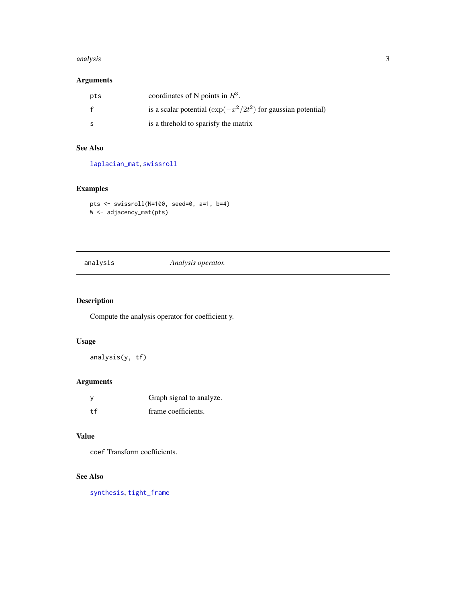#### <span id="page-2-0"></span>analysis 3

## Arguments

| pts | coordinates of N points in $R^3$ .                                  |
|-----|---------------------------------------------------------------------|
|     | is a scalar potential ( $\exp(-x^2/2t^2)$ ) for gaussian potential) |
|     | is a threhold to sparisfy the matrix                                |

## See Also

[laplacian\\_mat](#page-10-1), [swissroll](#page-18-1)

## Examples

```
pts <- swissroll(N=100, seed=0, a=1, b=4)
W <- adjacency_mat(pts)
```
## <span id="page-2-1"></span>analysis *Analysis operator.*

## Description

Compute the analysis operator for coefficient y.

## Usage

analysis(y, tf)

## Arguments

|     | Graph signal to analyze. |
|-----|--------------------------|
| t f | frame coefficients.      |

#### Value

coef Transform coefficients.

#### See Also

[synthesis](#page-19-1), [tight\\_frame](#page-19-2)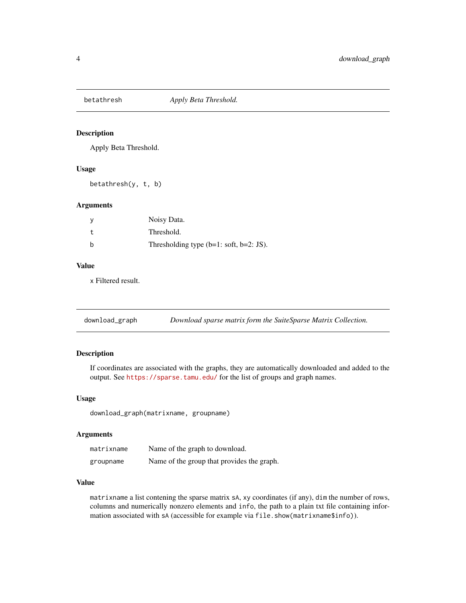<span id="page-3-0"></span>

Apply Beta Threshold.

#### Usage

betathresh(y, t, b)

#### Arguments

|     | Noisy Data.                                |
|-----|--------------------------------------------|
|     | Threshold.                                 |
| - b | Thresholding type $(b=1: soft, b=2: JS)$ . |

## Value

x Filtered result.

| download_graph | Download sparse matrix form the SuiteSparse Matrix Collection. |  |
|----------------|----------------------------------------------------------------|--|
|----------------|----------------------------------------------------------------|--|

## Description

If coordinates are associated with the graphs, they are automatically downloaded and added to the output. See <https://sparse.tamu.edu/> for the list of groups and graph names.

## Usage

download\_graph(matrixname, groupname)

#### Arguments

| matrixname | Name of the graph to download.             |
|------------|--------------------------------------------|
| groupname  | Name of the group that provides the graph. |

#### Value

matrixname a list contening the sparse matrix sA, xy coordinates (if any), dim the number of rows, columns and numerically nonzero elements and info, the path to a plain txt file containing information associated with sA (accessible for example via file.show(matrixname\$info)).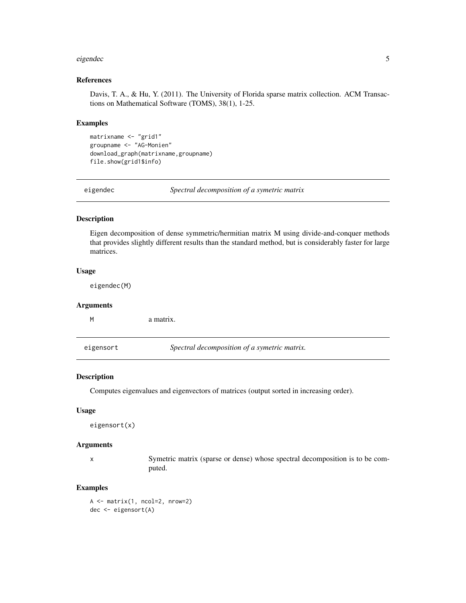#### <span id="page-4-0"></span>eigendec 55 and 55 and 55 and 55 and 55 and 55 and 55 and 55 and 55 and 55 and 55 and 55 and 55 and 55 and 55 and 55 and 55 and 55 and 55 and 55 and 55 and 55 and 55 and 55 and 55 and 55 and 55 and 55 and 55 and 55 and 55

## References

Davis, T. A., & Hu, Y. (2011). The University of Florida sparse matrix collection. ACM Transactions on Mathematical Software (TOMS), 38(1), 1-25.

#### Examples

```
matrixname <- "grid1"
groupname <- "AG-Monien"
download_graph(matrixname,groupname)
file.show(grid1$info)
```
eigendec *Spectral decomposition of a symetric matrix*

#### Description

Eigen decomposition of dense symmetric/hermitian matrix M using divide-and-conquer methods that provides slightly different results than the standard method, but is considerably faster for large matrices.

#### Usage

eigendec(M)

#### Arguments

|           | a matrix.                                    |
|-----------|----------------------------------------------|
| eigensort | Spectral decomposition of a symetric matrix. |
|           |                                              |

## Description

Computes eigenvalues and eigenvectors of matrices (output sorted in increasing order).

## Usage

eigensort(x)

## Arguments

x Symetric matrix (sparse or dense) whose spectral decomposition is to be computed.

## Examples

A <- matrix(1, ncol=2, nrow=2) dec <- eigensort(A)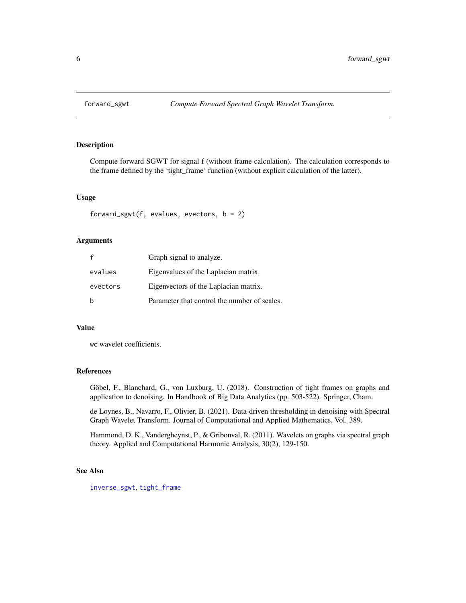<span id="page-5-1"></span><span id="page-5-0"></span>

Compute forward SGWT for signal f (without frame calculation). The calculation corresponds to the frame defined by the 'tight\_frame' function (without explicit calculation of the latter).

## Usage

forward\_sgwt(f, evalues, evectors,  $b = 2$ )

#### Arguments

| $\mathsf{f}$ | Graph signal to analyze.                     |
|--------------|----------------------------------------------|
| evalues      | Eigenvalues of the Laplacian matrix.         |
| evectors     | Eigenvectors of the Laplacian matrix.        |
| b            | Parameter that control the number of scales. |

#### Value

wc wavelet coefficients.

## References

Göbel, F., Blanchard, G., von Luxburg, U. (2018). Construction of tight frames on graphs and application to denoising. In Handbook of Big Data Analytics (pp. 503-522). Springer, Cham.

de Loynes, B., Navarro, F., Olivier, B. (2021). Data-driven thresholding in denoising with Spectral Graph Wavelet Transform. Journal of Computational and Applied Mathematics, Vol. 389.

Hammond, D. K., Vandergheynst, P., & Gribonval, R. (2011). Wavelets on graphs via spectral graph theory. Applied and Computational Harmonic Analysis, 30(2), 129-150.

## See Also

[inverse\\_sgwt](#page-9-1), [tight\\_frame](#page-19-2)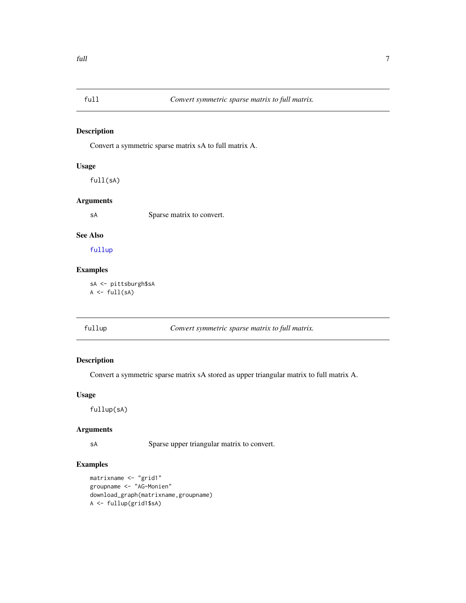<span id="page-6-0"></span>

Convert a symmetric sparse matrix sA to full matrix A.

## Usage

full(sA)

## Arguments

sA Sparse matrix to convert.

#### See Also

[fullup](#page-6-1)

## Examples

sA <- pittsburgh\$sA  $A \leftarrow full(sA)$ 

<span id="page-6-1"></span>fullup *Convert symmetric sparse matrix to full matrix.*

## Description

Convert a symmetric sparse matrix sA stored as upper triangular matrix to full matrix A.

#### Usage

fullup(sA)

#### Arguments

sA Sparse upper triangular matrix to convert.

```
matrixname <- "grid1"
groupname <- "AG-Monien"
download_graph(matrixname,groupname)
A <- fullup(grid1$sA)
```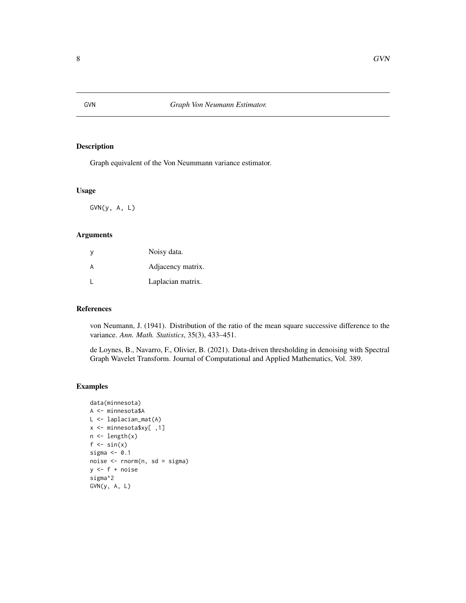<span id="page-7-0"></span>

Graph equivalent of the Von Neummann variance estimator.

#### Usage

GVN(y, A, L)

## Arguments

| y | Noisy data.       |
|---|-------------------|
| A | Adjacency matrix. |
|   | Laplacian matrix. |

## References

von Neumann, J. (1941). Distribution of the ratio of the mean square successive difference to the variance. *Ann. Math. Statistics*, 35(3), 433–451.

de Loynes, B., Navarro, F., Olivier, B. (2021). Data-driven thresholding in denoising with Spectral Graph Wavelet Transform. Journal of Computational and Applied Mathematics, Vol. 389.

```
data(minnesota)
A <- minnesota$A
L <- laplacian_mat(A)
x <- minnesota$xy[ ,1]
n <- length(x)
f \leftarrow \sin(x)sigma <-0.1noise <- rnorm(n, sd = sigma)
y \leftarrow f + noisesigma^2
GVN(y, A, L)
```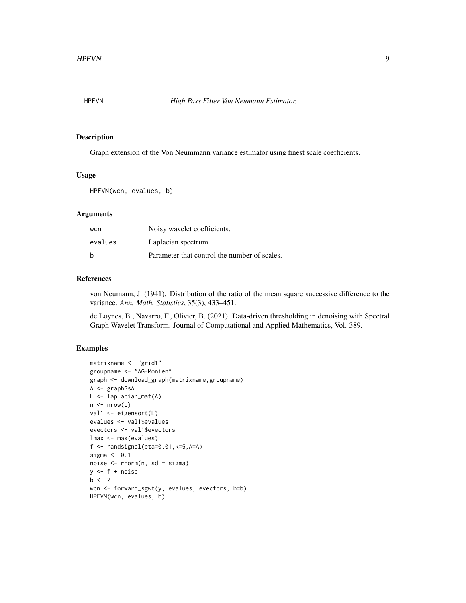<span id="page-8-0"></span>

Graph extension of the Von Neummann variance estimator using finest scale coefficients.

## Usage

HPFVN(wcn, evalues, b)

## Arguments

| wcn     | Noisy wavelet coefficients.                  |
|---------|----------------------------------------------|
| evalues | Laplacian spectrum.                          |
| b       | Parameter that control the number of scales. |

#### References

von Neumann, J. (1941). Distribution of the ratio of the mean square successive difference to the variance. *Ann. Math. Statistics*, 35(3), 433–451.

de Loynes, B., Navarro, F., Olivier, B. (2021). Data-driven thresholding in denoising with Spectral Graph Wavelet Transform. Journal of Computational and Applied Mathematics, Vol. 389.

```
matrixname <- "grid1"
groupname <- "AG-Monien"
graph <- download_graph(matrixname,groupname)
A <- graph$sA
L <- laplacian_mat(A)
n \leq -nrow(L)val1 <- eigensort(L)
evalues <- val1$evalues
evectors <- val1$evectors
lmax <- max(evalues)
f \leftarrow randsignal(eta=0.01,k=5,A=A)
sigma <- 0.1
noise <- rnorm(n, sd = sigma)
y \leftarrow f + noiseb \le -2wcn <- forward_sgwt(y, evalues, evectors, b=b)
HPFVN(wcn, evalues, b)
```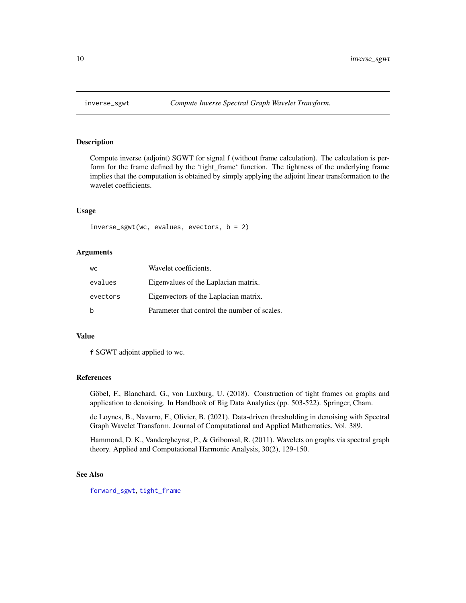<span id="page-9-1"></span><span id="page-9-0"></span>

Compute inverse (adjoint) SGWT for signal f (without frame calculation). The calculation is perform for the frame defined by the 'tight\_frame' function. The tightness of the underlying frame implies that the computation is obtained by simply applying the adjoint linear transformation to the wavelet coefficients.

#### Usage

 $inverse\_sgwt(wc, evaluates, vectors, b = 2)$ 

#### Arguments

| <b>WC</b> | Wavelet coefficients.                        |
|-----------|----------------------------------------------|
| evalues   | Eigenvalues of the Laplacian matrix.         |
| evectors  | Eigenvectors of the Laplacian matrix.        |
|           | Parameter that control the number of scales. |

## Value

f SGWT adjoint applied to wc.

#### References

Göbel, F., Blanchard, G., von Luxburg, U. (2018). Construction of tight frames on graphs and application to denoising. In Handbook of Big Data Analytics (pp. 503-522). Springer, Cham.

de Loynes, B., Navarro, F., Olivier, B. (2021). Data-driven thresholding in denoising with Spectral Graph Wavelet Transform. Journal of Computational and Applied Mathematics, Vol. 389.

Hammond, D. K., Vandergheynst, P., & Gribonval, R. (2011). Wavelets on graphs via spectral graph theory. Applied and Computational Harmonic Analysis, 30(2), 129-150.

#### See Also

[forward\\_sgwt](#page-5-1), [tight\\_frame](#page-19-2)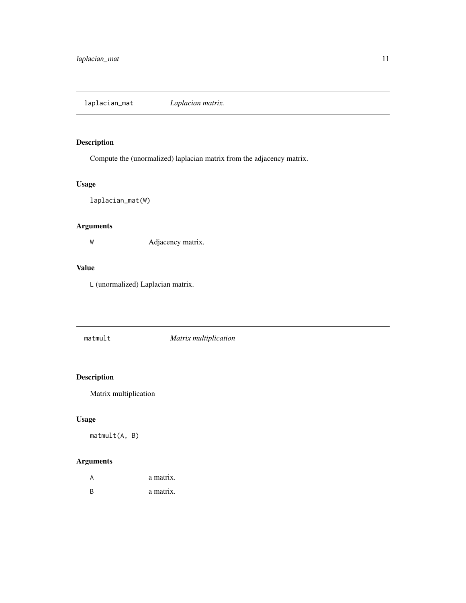<span id="page-10-1"></span><span id="page-10-0"></span>Compute the (unormalized) laplacian matrix from the adjacency matrix.

## Usage

laplacian\_mat(W)

## Arguments

W Adjacency matrix.

## Value

L (unormalized) Laplacian matrix.

matmult *Matrix multiplication*

## Description

Matrix multiplication

## Usage

matmult(A, B)

| A  | a matrix. |
|----|-----------|
| -R | a matrix. |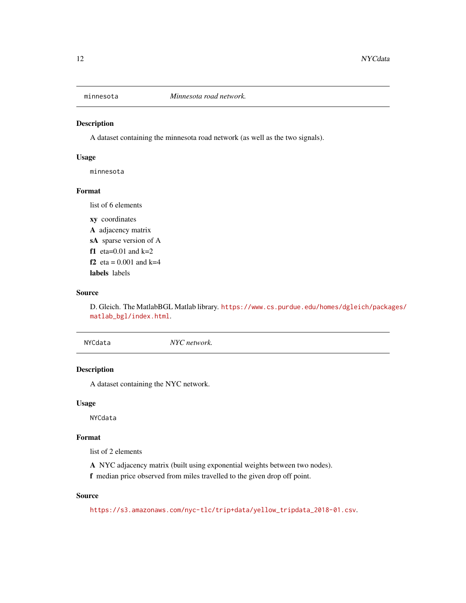<span id="page-11-0"></span>

A dataset containing the minnesota road network (as well as the two signals).

#### Usage

minnesota

#### Format

list of 6 elements

xy coordinates A adjacency matrix sA sparse version of A f1 eta= $0.01$  and k= $2$ f2  $eta = 0.001$  and  $k=4$ labels labels

#### Source

D. Gleich. The MatlabBGL Matlab library. [https://www.cs.purdue.edu/homes/dgleich/packa](https://www.cs.purdue.edu/homes/dgleich/packages/matlab_bgl/index.html)ges/ [matlab\\_bgl/index.html](https://www.cs.purdue.edu/homes/dgleich/packages/matlab_bgl/index.html).

NYCdata *NYC network.*

## Description

A dataset containing the NYC network.

#### Usage

NYCdata

#### Format

list of 2 elements

A NYC adjacency matrix (built using exponential weights between two nodes).

f median price observed from miles travelled to the given drop off point.

#### Source

[https://s3.amazonaws.com/nyc-tlc/trip+data/yellow\\_tripdata\\_2018-01.csv](https://s3.amazonaws.com/nyc-tlc/trip+data/yellow_tripdata_2018-01.csv).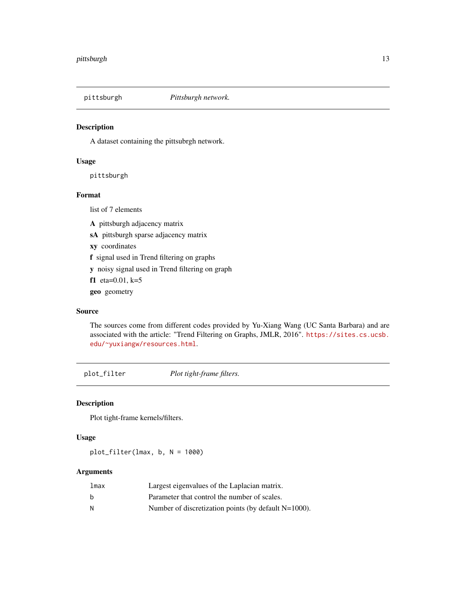<span id="page-12-0"></span>

A dataset containing the pittsubrgh network.

#### Usage

pittsburgh

#### Format

list of 7 elements

A pittsburgh adjacency matrix

sA pittsburgh sparse adjacency matrix

xy coordinates

f signal used in Trend filtering on graphs

y noisy signal used in Trend filtering on graph

f1 eta=0.01, k=5

geo geometry

#### Source

The sources come from different codes provided by Yu-Xiang Wang (UC Santa Barbara) and are associated with the article: "Trend Filtering on Graphs, JMLR, 2016". [https://sites.cs.ucsb.](https://sites.cs.ucsb.edu/~yuxiangw/resources.html) [edu/~yuxiangw/resources.html](https://sites.cs.ucsb.edu/~yuxiangw/resources.html).

plot\_filter *Plot tight-frame filters.*

## Description

Plot tight-frame kernels/filters.

#### Usage

plot\_filter(lmax, b, N = 1000)

| lmax | Largest eigenvalues of the Laplacian matrix.            |
|------|---------------------------------------------------------|
| b    | Parameter that control the number of scales.            |
| -N   | Number of discretization points (by default $N=1000$ ). |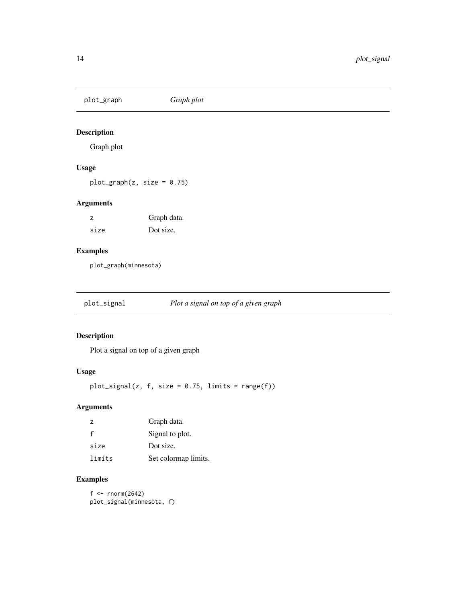<span id="page-13-0"></span>plot\_graph *Graph plot*

## Description

Graph plot

## Usage

 $plot\_graph(z, size = 0.75)$ 

## Arguments

| z    | Graph data. |
|------|-------------|
| size | Dot size.   |

## Examples

plot\_graph(minnesota)

plot\_signal *Plot a signal on top of a given graph*

## Description

Plot a signal on top of a given graph

## Usage

 $plot\_signal(z, f, size = 0.75, limits = range(f))$ 

## Arguments

| $\overline{z}$ | Graph data.          |
|----------------|----------------------|
| $\mathsf{f}$   | Signal to plot.      |
| size           | Dot size.            |
| limits         | Set colormap limits. |

## Examples

 $f \leftarrow \text{norm}(2642)$ plot\_signal(minnesota, f)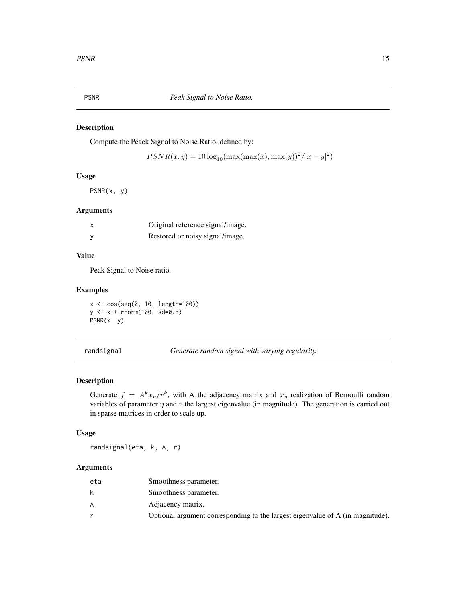<span id="page-14-0"></span>

Compute the Peack Signal to Noise Ratio, defined by:

 $PSNR(x, y) = 10 \log_{10}(\max(\max(x), \max(y))^2/|x - y|^2)$ 

#### Usage

PSNR(x, y)

#### Arguments

|   | Original reference signal/image. |
|---|----------------------------------|
| у | Restored or noisy signal/image.  |

## Value

Peak Signal to Noise ratio.

## Examples

x <- cos(seq(0, 10, length=100)) y <- x + rnorm(100, sd=0.5) PSNR(x, y)

randsignal *Generate random signal with varying regularity.*

## Description

Generate  $f = A^k x_\eta / r^k$ , with A the adjacency matrix and  $x_\eta$  realization of Bernoulli random variables of parameter  $\eta$  and  $r$  the largest eigenvalue (in magnitude). The generation is carried out in sparse matrices in order to scale up.

#### Usage

randsignal(eta, k, A, r)

| eta | Smoothness parameter.                                                          |
|-----|--------------------------------------------------------------------------------|
| k   | Smoothness parameter.                                                          |
| A   | Adjacency matrix.                                                              |
|     | Optional argument corresponding to the largest eigenvalue of A (in magnitude). |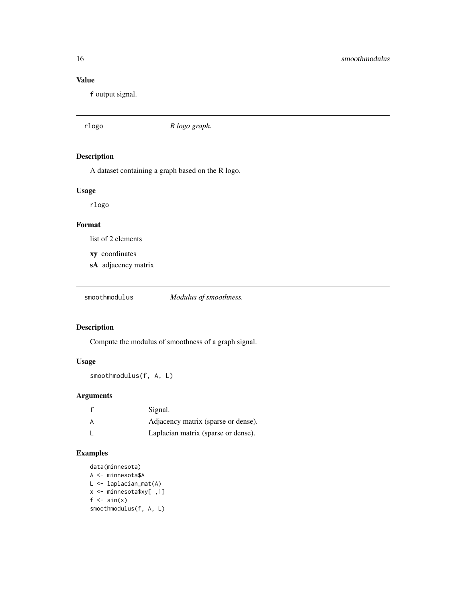## <span id="page-15-0"></span>Value

f output signal.

| rlogo | R logo graph. |
|-------|---------------|
|       |               |

Description

A dataset containing a graph based on the R logo.

## Usage

rlogo

## Format

list of 2 elements

- xy coordinates
- sA adjacency matrix

smoothmodulus *Modulus of smoothness.*

## Description

Compute the modulus of smoothness of a graph signal.

## Usage

smoothmodulus(f, A, L)

## Arguments

|   | Signal.                             |
|---|-------------------------------------|
| A | Adjacency matrix (sparse or dense). |
|   | Laplacian matrix (sparse or dense). |

```
data(minnesota)
A <- minnesota$A
L <- laplacian_mat(A)
x <- minnesota$xy[ ,1]
f \leftarrow \sin(x)smoothmodulus(f, A, L)
```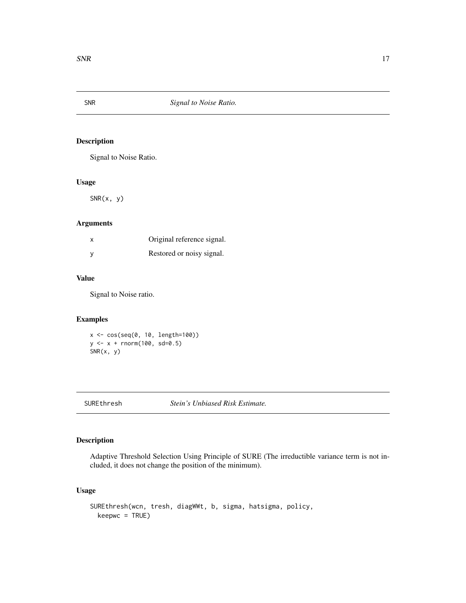<span id="page-16-0"></span>

Signal to Noise Ratio.

#### Usage

 $SNR(x, y)$ 

## Arguments

| X | Original reference signal. |
|---|----------------------------|
| y | Restored or noisy signal.  |

## Value

Signal to Noise ratio.

## Examples

```
x <- cos(seq(0, 10, length=100))
y <- x + rnorm(100, sd=0.5)
SNR(x, y)
```
SUREthresh *Stein's Unbiased Risk Estimate.*

## Description

Adaptive Threshold Selection Using Principle of SURE (The irreductible variance term is not included, it does not change the position of the minimum).

## Usage

```
SUREthresh(wcn, tresh, diagWWt, b, sigma, hatsigma, policy,
 keepwc = TRUE)
```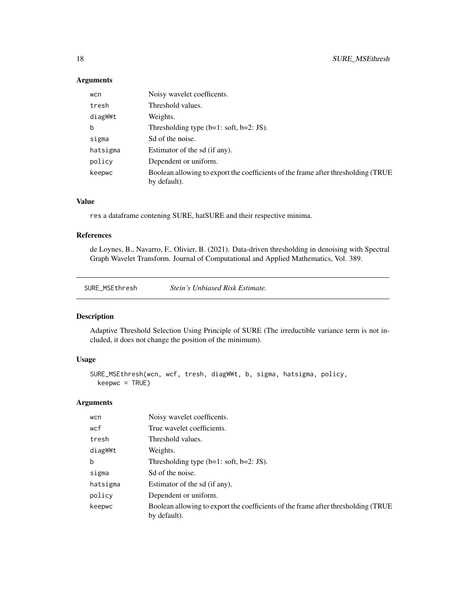## Arguments

| wcn      | Noisy wavelet coefficents.                                                                        |
|----------|---------------------------------------------------------------------------------------------------|
| tresh    | Threshold values.                                                                                 |
| diagWWt  | Weights.                                                                                          |
| b        | Thresholding type $(b=1: soft, b=2: JS)$ .                                                        |
| sigma    | Sd of the noise.                                                                                  |
| hatsigma | Estimator of the sd (if any).                                                                     |
| policy   | Dependent or uniform.                                                                             |
| keepwc   | Boolean allowing to export the coefficients of the frame after thresholding (TRUE<br>by default). |

## Value

res a dataframe contening SURE, hatSURE and their respective minima.

## References

de Loynes, B., Navarro, F., Olivier, B. (2021). Data-driven thresholding in denoising with Spectral Graph Wavelet Transform. Journal of Computational and Applied Mathematics, Vol. 389.

SURE\_MSEthresh *Stein's Unbiased Risk Estimate.*

## Description

Adaptive Threshold Selection Using Principle of SURE (The irreductible variance term is not included, it does not change the position of the minimum).

## Usage

```
SURE_MSEthresh(wcn, wcf, tresh, diagWWt, b, sigma, hatsigma, policy,
 keepwc = TRUE)
```

| wcn      | Noisy wavelet coefficents.                                                                        |
|----------|---------------------------------------------------------------------------------------------------|
| wcf      | True wavelet coefficients.                                                                        |
| tresh    | Threshold values.                                                                                 |
| diagWWt  | Weights.                                                                                          |
| b        | Thresholding type $(b=1: soft, b=2: JS)$ .                                                        |
| sigma    | Sd of the noise.                                                                                  |
| hatsigma | Estimator of the sd (if any).                                                                     |
| policy   | Dependent or uniform.                                                                             |
| keepwc   | Boolean allowing to export the coefficients of the frame after thresholding (TRUE<br>by default). |

<span id="page-17-0"></span>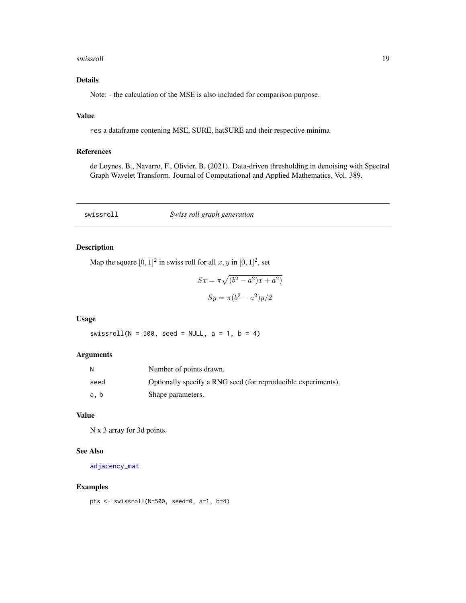#### <span id="page-18-0"></span>swissroll and the state of the state of the state of the state of the state of the state of the state of the state of the state of the state of the state of the state of the state of the state of the state of the state of

## Details

Note: - the calculation of the MSE is also included for comparison purpose.

## Value

res a dataframe contening MSE, SURE, hatSURE and their respective minima

## References

de Loynes, B., Navarro, F., Olivier, B. (2021). Data-driven thresholding in denoising with Spectral Graph Wavelet Transform. Journal of Computational and Applied Mathematics, Vol. 389.

<span id="page-18-1"></span>swissroll *Swiss roll graph generation*

## Description

Map the square  $[0, 1]^2$  in swiss roll for all  $x, y$  in  $[0, 1]^2$ , set

$$
Sx = \pi \sqrt{(b^2 - a^2)x + a^2}
$$

$$
Sy = \pi (b^2 - a^2)y/2
$$

#### Usage

swissroll(N =  $500$ , seed = NULL, a = 1, b = 4)

#### Arguments

| N    | Number of points drawn.                                       |
|------|---------------------------------------------------------------|
| seed | Optionally specify a RNG seed (for reproducible experiments). |
| a.b  | Shape parameters.                                             |

## Value

N x 3 array for 3d points.

## See Also

[adjacency\\_mat](#page-1-1)

```
pts <- swissroll(N=500, seed=0, a=1, b=4)
```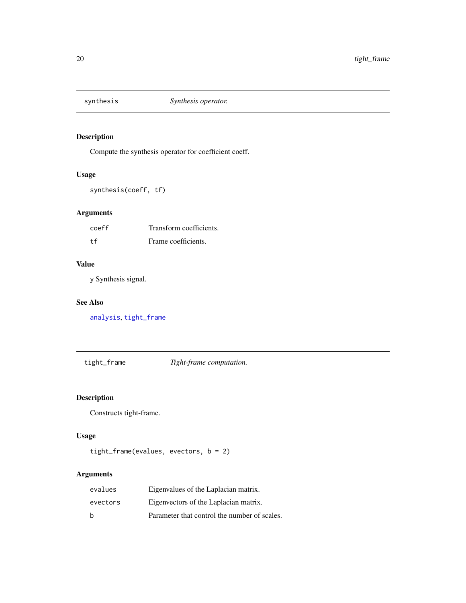<span id="page-19-1"></span><span id="page-19-0"></span>

Compute the synthesis operator for coefficient coeff.

## Usage

synthesis(coeff, tf)

## Arguments

| coeff | Transform coefficients. |
|-------|-------------------------|
| t.f   | Frame coefficients.     |

## Value

y Synthesis signal.

## See Also

[analysis](#page-2-1), [tight\\_frame](#page-19-2)

<span id="page-19-2"></span>tight\_frame *Tight-frame computation.*

## Description

Constructs tight-frame.

## Usage

```
tight_frame(evalues, evectors, b = 2)
```

| evalues  | Eigenvalues of the Laplacian matrix.         |
|----------|----------------------------------------------|
| evectors | Eigenvectors of the Laplacian matrix.        |
| h        | Parameter that control the number of scales. |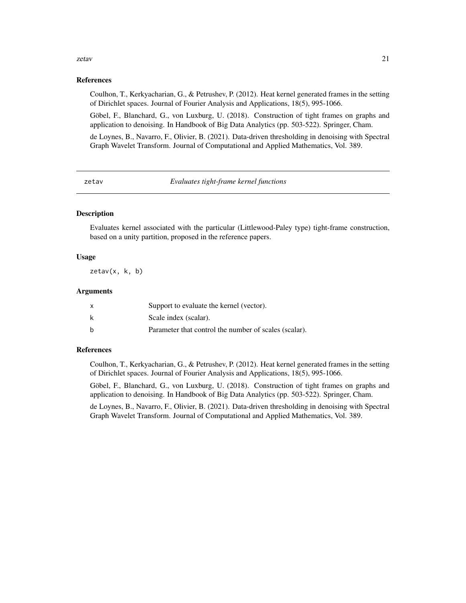#### <span id="page-20-0"></span>zetav 21

#### References

Coulhon, T., Kerkyacharian, G., & Petrushev, P. (2012). Heat kernel generated frames in the setting of Dirichlet spaces. Journal of Fourier Analysis and Applications, 18(5), 995-1066.

Göbel, F., Blanchard, G., von Luxburg, U. (2018). Construction of tight frames on graphs and application to denoising. In Handbook of Big Data Analytics (pp. 503-522). Springer, Cham.

de Loynes, B., Navarro, F., Olivier, B. (2021). Data-driven thresholding in denoising with Spectral Graph Wavelet Transform. Journal of Computational and Applied Mathematics, Vol. 389.

zetav *Evaluates tight-frame kernel functions*

## **Description**

Evaluates kernel associated with the particular (Littlewood-Paley type) tight-frame construction, based on a unity partition, proposed in the reference papers.

#### Usage

zetav(x, k, b)

#### Arguments

| X | Support to evaluate the kernel (vector).              |
|---|-------------------------------------------------------|
| k | Scale index (scalar).                                 |
| h | Parameter that control the number of scales (scalar). |

#### References

Coulhon, T., Kerkyacharian, G., & Petrushev, P. (2012). Heat kernel generated frames in the setting of Dirichlet spaces. Journal of Fourier Analysis and Applications, 18(5), 995-1066.

Göbel, F., Blanchard, G., von Luxburg, U. (2018). Construction of tight frames on graphs and application to denoising. In Handbook of Big Data Analytics (pp. 503-522). Springer, Cham.

de Loynes, B., Navarro, F., Olivier, B. (2021). Data-driven thresholding in denoising with Spectral Graph Wavelet Transform. Journal of Computational and Applied Mathematics, Vol. 389.